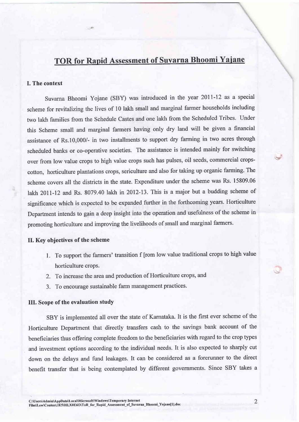# TOR for Rapid Assessment of Suvarna Bhoomi Yaiane

### I. The context

Suvarna Bhoomi Yojane (SBY) was introduced in the year 20ll-12 as a special scheme for revitalizing the lives of 10 lakh small and marginal farmer households including two lakh families from the Schedule Castes and one lakh from the Scheduled Tribes. Under this Scheme small and marginal farmers having only dry land will be given a financial assistance of Rs.10,000/- in two installments to support dry farming in two acres through scheduled banks or co-operative societies. The assistance is intended mainly for switching over from low value crops to high value crops such has pulses, oil seeds, commercial cropscotton, horticulture plantations crops, sericulture and also for taking up organic farming. The scheme covers all the districts in the state. Expenditure under the scheme was Rs. 15809.06 lakh 2011-12 and Rs. 8079.40 lakh in 2012-13. This is a major but a budding scheme of significance which is expected to be expanded further in the forthcoming years. Horticulture Department intends to gain a deep insight into the operation and usefulness of the scheme in promoting horticulture and improving the livelihoods of small and marginal farmers.

# II. Key objectives of the scheme

- 1. To support the farmers' transition f [rom low value traditional crops to high value horticulture crops.
- 2. To increase the area and production of Horticulture crops, and
- 3. To encourage sustainable farm management practices.

### III. Scope of the evaluation study

SBY is implemented all over the state of Karnataka. It is the first ever scheme of the Horticulture Department that directly transfers cash to the savings bank account of the beneficiaries thus offering complete freedom to the beneficiaries with regard to the crop types and investment options according to the individual needs. It is also expected to sharply cut down on the delays and fund leakages. It can be considered as a forerunner to the direct benefit transfer that is being contemplated by different governments. Since SBY takes <sup>a</sup> v'

 $\sim$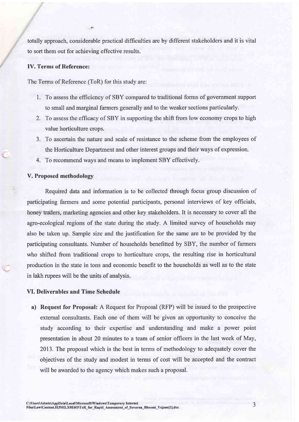totally approach, considerable practical difficulties are by different stakeholders and it is vital to sort them out for achieving effective results.

## IV. Terms of Reference:

The Terms of Reference (ToR) for this study are:

 $A^{\circ}$ 

- 1. To assess the efficiency of SBY compared to traditional forms of government support to small and marginal farmers generally and to the weaker sections particularly.
- 2. To assess the efficacy of SBY in supporting the shift from low economy crops to high value horticulture crops.
- To ascertain the nature and scale of resistance to the scheme from the employees of 1 the Horticulture Department and other interest groups and their ways of expression.
- 4. To recommend ways and means to implement SBY effectively.

#### V. Proposed methodolory

Required data and information is to be collected through focus group discussion of participating farmers and some potential participants, personal interviews of key officials, honey ttaders, marketing agencies and other key stakeholders. It is necessary to cover all the agro-ecological regions of the state during the study. A limited survey of households may also be taken up. Sample size and the justification for the same are to be provided by the participating consultants. Number of households benefitted by SBY, the number of farmers who shifted from traditional crops to horticulture crops, the resulting rise in horticultural production in the state in tons and economic benefit to the households as well as to the state in lakh rupees will be the units of analysis.

#### VI. Deliverables and Time Schedule

a) Request for Proposal: A Request for Proposal (RFP) will be issued to the prospective external consultants. Each one of them will be given an opportunity to conceive the study according to their expertise and understanding and make a power point presentation in about 20 minutes to a team of senior officers in the last week of May, 2013. The proposal which is the best in terms of methodology to adequately cover the objectives of the study and modest in terms of cost will be accepted and the contract will be awarded to the agency which makes such a proposal.

3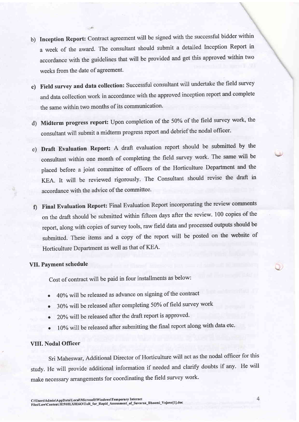- b) Inception Report: Contract agreement will be signed with the successful bidder within <sup>a</sup>week of the award. The consultant should submit a detailed Inception Report in accordance with the guidelines that will be provided and get this approved within two weeks from the date of agreement.
- c) Field survey and data collection: Successful consultant will undertake the freld survey and data collection work in accordance with the approved inception report and complete the same within two months of its communication.
- d) Midterm progress report: Upon completion of the 50% of the field survey work, the consultant will submit a midterm progress report and debrief the nodal officer.
- e) Draft Evaluation Report: A draft evaluation report should be submitted by the consultant within one month of completing the field survey work' The same will be placed before a joint committee of officers of the Horticulture Department and the KEA. It will be reviewed rigorously. The consultant should revise the draft in accordance with the advice of the committee.
- Final Evaluation Report: Final Evaluation Report incorporating the review comments on the draft should be submitted within fifteen days after the review. 100 copies of the report, along with copies of survey tools, raw field data and processed outputs should be submitted. These items and a copy of the report will be posted on the website of Horticulture Department as well as that of KEA.

# VII. Payment schedule

cost of contract will be paid in four installments as below:

- 40% will be released as advance on signing of the contract a
- 30% will be released after completing 50% of field survey work  $\bullet$
- 20% will be released after the draft report is approved. a
- 10% will be released after submitting the final report along with data etc. a

## VIII. Nodal Officer

Sri Maheswar, Additional Director of Horticulture will act as the nodal officer for this study. He will provide additional information if needed and clarify doubts if any. He will make necessary arrangements for coordinating the field survey work.